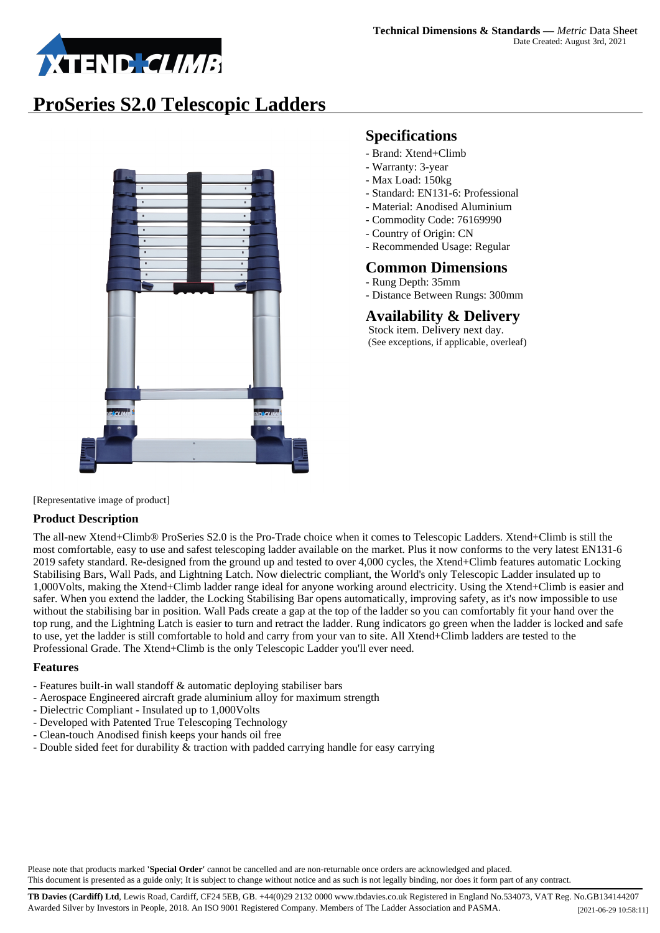

## **ProSeries S2.0 Telescopic Ladders**



### **Specifications**

- Brand: Xtend+Climb
- Warranty: 3-year
- Max Load: 150kg
- Standard: EN131-6: Professional
- Material: Anodised Aluminium
- Commodity Code: 76169990
- Country of Origin: CN
- Recommended Usage: Regular

#### **Common Dimensions**

- Rung Depth: 35mm
- Distance Between Rungs: 300mm

### **Availability & Delivery**

 Stock item. Delivery next day. (See exceptions, if applicable, overleaf)

[Representative image of product]

#### **Product Description**

The all-new Xtend+Climb® ProSeries S2.0 is the Pro-Trade choice when it comes to Telescopic Ladders. Xtend+Climb is still the most comfortable, easy to use and safest telescoping ladder available on the market. Plus it now conforms to the very latest EN131-6 2019 safety standard. Re-designed from the ground up and tested to over 4,000 cycles, the Xtend+Climb features automatic Locking Stabilising Bars, Wall Pads, and Lightning Latch. Now dielectric compliant, the World's only Telescopic Ladder insulated up to 1,000Volts, making the Xtend+Climb ladder range ideal for anyone working around electricity. Using the Xtend+Climb is easier and safer. When you extend the ladder, the Locking Stabilising Bar opens automatically, improving safety, as it's now impossible to use without the stabilising bar in position. Wall Pads create a gap at the top of the ladder so you can comfortably fit your hand over the top rung, and the Lightning Latch is easier to turn and retract the ladder. Rung indicators go green when the ladder is locked and safe to use, yet the ladder is still comfortable to hold and carry from your van to site. All Xtend+Climb ladders are tested to the Professional Grade. The Xtend+Climb is the only Telescopic Ladder you'll ever need.

#### **Features**

- Features built-in wall standoff & automatic deploying stabiliser bars
- Aerospace Engineered aircraft grade aluminium alloy for maximum strength
- Dielectric Compliant Insulated up to 1,000Volts
- Developed with Patented True Telescoping Technology
- Clean-touch Anodised finish keeps your hands oil free
- Double sided feet for durability & traction with padded carrying handle for easy carrying

Please note that products marked **'Special Order'** cannot be cancelled and are non-returnable once orders are acknowledged and placed. This document is presented as a guide only; It is subject to change without notice and as such is not legally binding, nor does it form part of any contract.